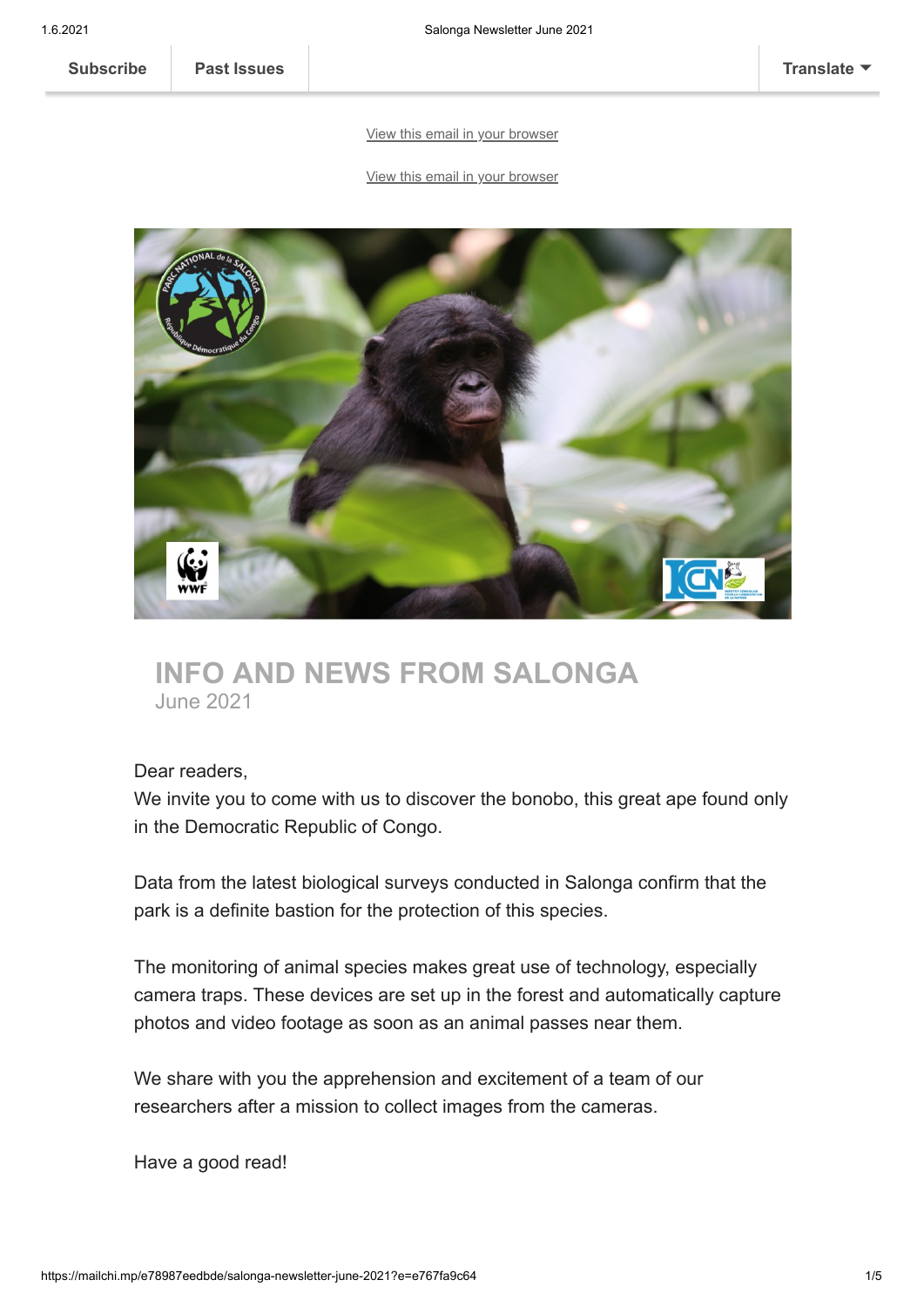# [View this email in your browser](https://mailchi.mp/e78987eedbde/salonga-newsletter-june-2021?e=e767fa9c64)

#### [View this email in your browser](https://mailchi.mp/e78987eedbde/salonga-newsletter-june-2021?e=e767fa9c64)



# **INFO AND NEWS FROM SALONGA** June 2021

#### Dear readers,

We invite you to come with us to discover the bonobo, this great ape found only in the Democratic Republic of Congo.

Data from the latest biological surveys conducted in Salonga confirm that the park is a definite bastion for the protection of this species.

The monitoring of animal species makes great use of technology, especially camera traps. These devices are set up in the forest and automatically capture photos and video footage as soon as an animal passes near them.

We share with you the apprehension and excitement of a team of our researchers after a mission to collect images from the cameras.

Have a good read!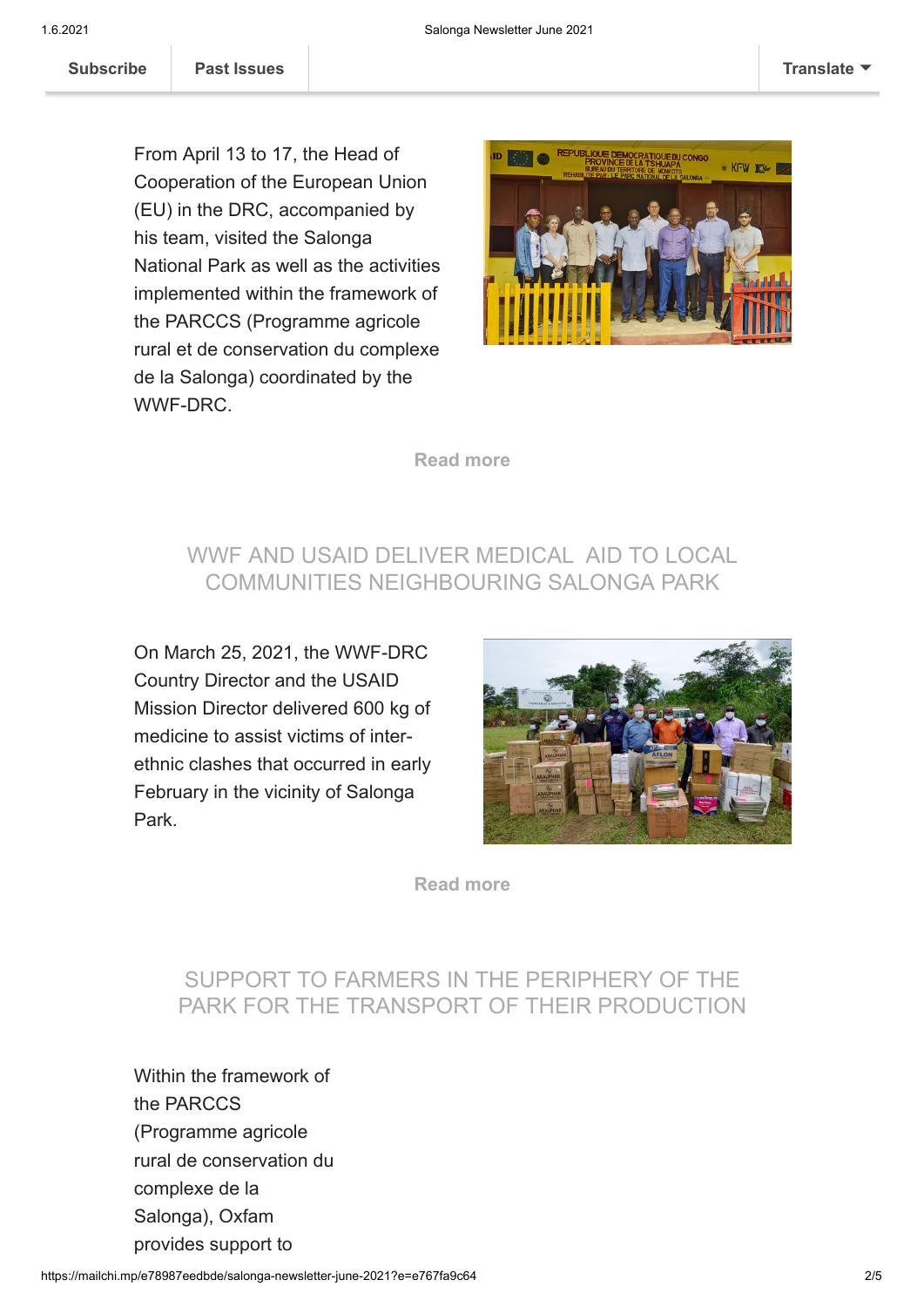PER EUROPEAN UNION DELEGATION DEL SERVICE DEL SERVICE DEL SERVICE DEL SERVICE DEL SERVICE DEL SERVICE DEL SERVICE DEL SERVICE DEL SERVICE DEL SERVICE DEL SERVICE DEL SERVICE DEL SERVICE DEL SERVICE DEL SERVICE DEL SERVICE SALONGA

From April 13 to 17, the Head of Cooperation of the European Union (EU) in the DRC, accompanied by his team, visited the Salonga National Park as well as the activities implemented within the framework of the PARCCS (Programme agricole rural et de conservation du complexe de la Salonga) coordinated by the WWF-DRC.



**[Read more](https://salonga.org/visite-dune-delegation-de-lunion-europeenne-a-la-salonga-2/)**

## WWF AND USAID DELIVER MEDICAL AID TO LOCAL COMMUNITIES NEIGHBOURING SALONGA PARK

On March 25, 2021, the WWF-DRC Country Director and the USAID Mission Director delivered 600 kg of medicine to assist victims of interethnic clashes that occurred in early February in the vicinity of Salonga Park.



**[Read more](https://salonga.org/wwf-and-usaid-assist-riparian-populations-in-salonga-national-park-affected-by-inter-ethnic-conflicts/)**

#### SUPPORT TO FARMERS IN THE PERIPHERY OF THE PARK FOR THE TRANSPORT OF THEIR PRODUCTION

Within the framework of the PARCCS (Programme agricole rural de conservation du complexe de la Salonga), Oxfam provides support to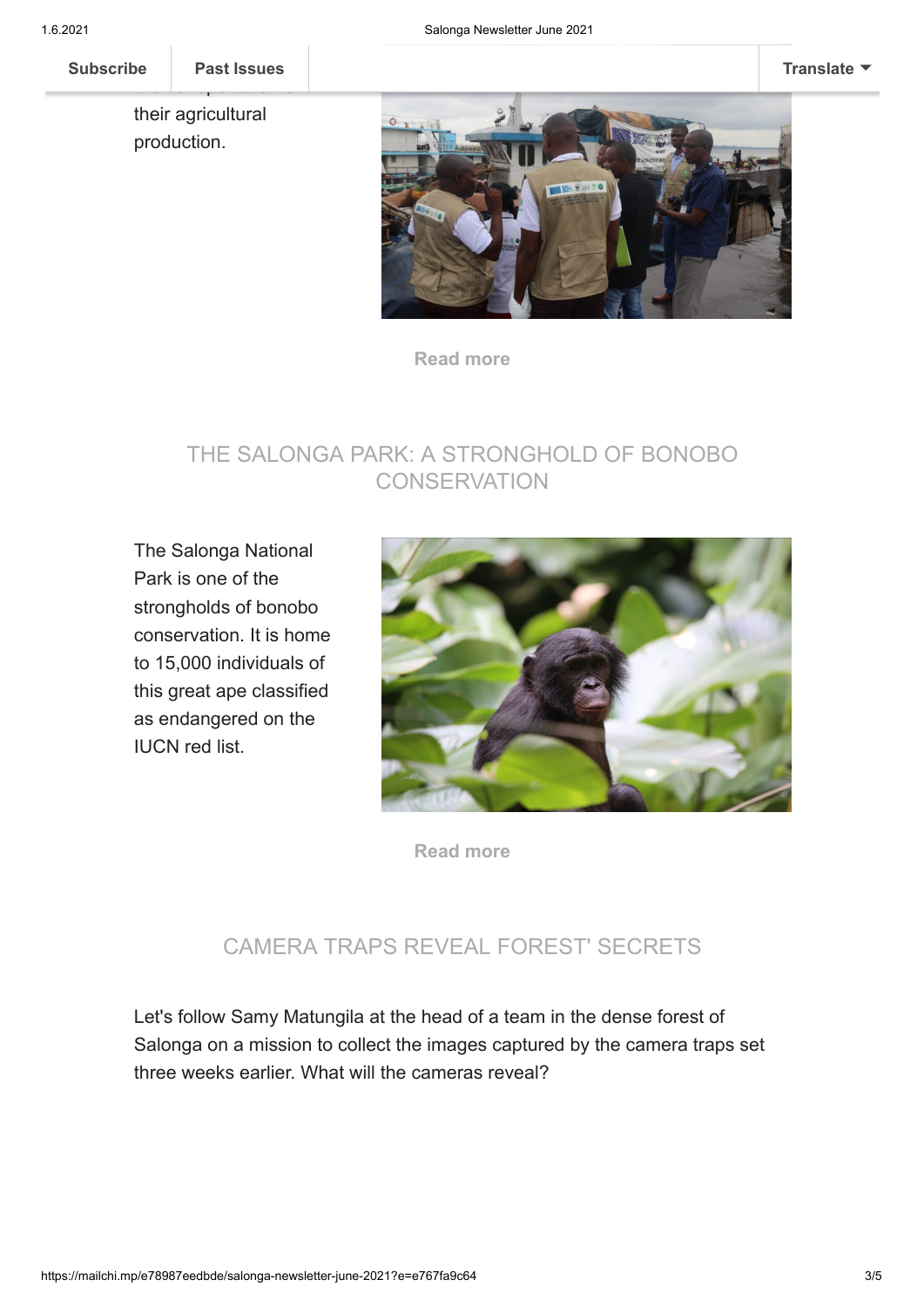Subscribe Past Issues

**[Subscribe](http://eepurl.com/dLiwKA) Past Issues [Translate](javascript:;)**

the transportation of

their agricultural production.



**[Read more](https://salonga.org/field-stories/farmers-accompanied-by-parccs-once-again-bring-their-products-to-kinshasa/)**

### THE SALONGA PARK: A STRONGHOLD OF BONOBO **CONSERVATION**

The Salonga National Park is one of the strongholds of bonobo conservation. It is home to 15,000 individuals of this great ape classified as endangered on the IUCN red list.



**[Read more](https://salonga.org/field-stories/the-bonobo-primate/)**

## CAMERA TRAPS REVEAL FOREST' SECRETS

Let's follow Samy Matungila at the head of a team in the dense forest of Salonga on a mission to collect the images captured by the camera traps set three weeks earlier. What will the cameras reveal?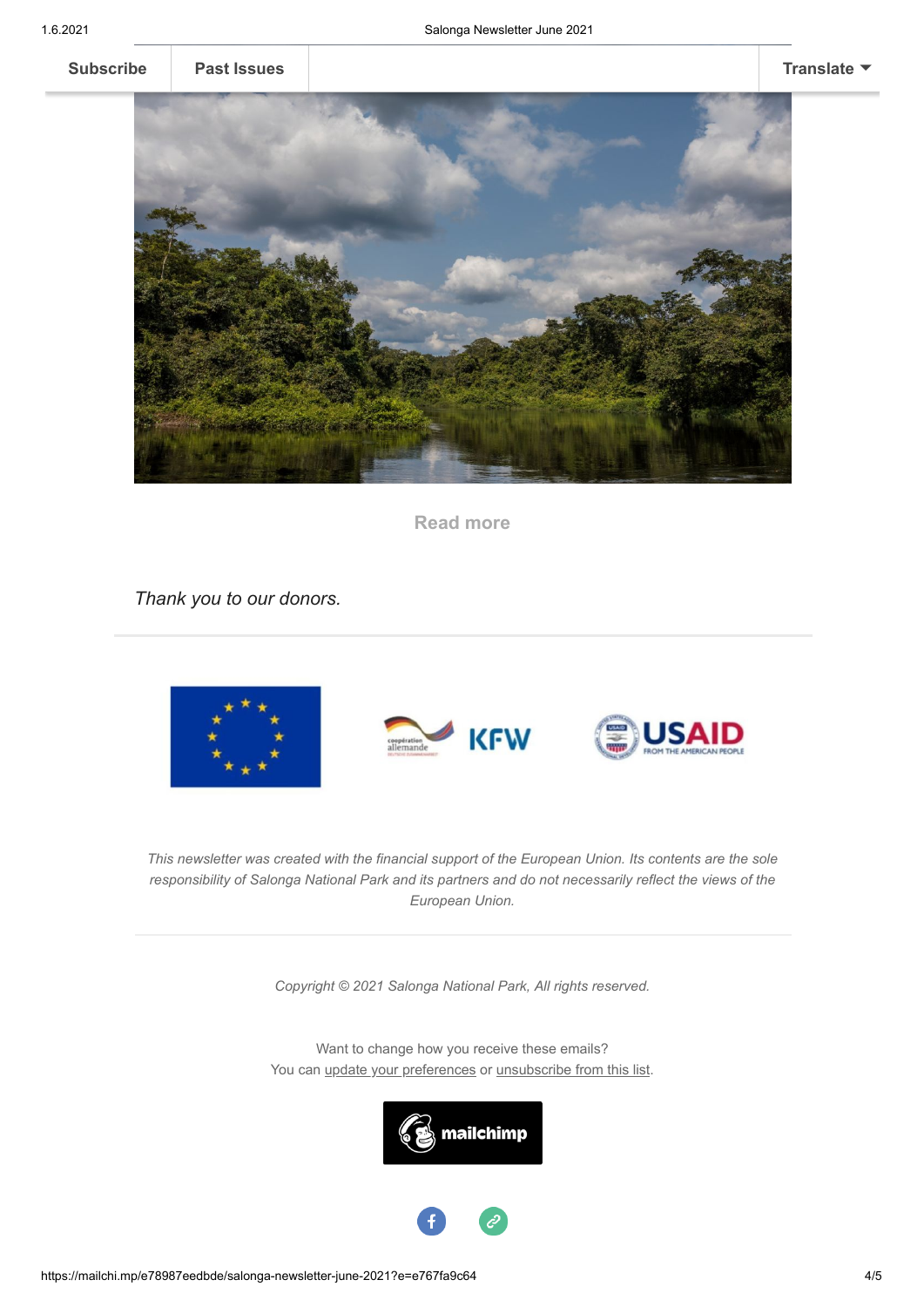

**[Subscribe](http://eepurl.com/dLiwKA) [Past Issues](https://us19.campaign-archive.com/home/?u=cd16f7da0a5125b36f64d0fa7&id=309271ac4c) [Translate](javascript:;)** ▼



**[Read more](https://salonga.org/field-stories/in-the-shadows-of-the-rainforest/)**

*Thank you to our donors.*







*This newsletter was created with the financial support of the European Union. Its contents are the sole responsibility of Salonga National Park and its partners and do not necessarily reflect the views of the European Union.*

*Copyright © 2021 Salonga National Park, All rights reserved.*

Want to change how you receive these emails? You can [update your preferences](https://salonga.us19.list-manage.com/profile?u=cd16f7da0a5125b36f64d0fa7&id=309271ac4c&e=e767fa9c64) or [unsubscribe from this list.](https://salonga.us19.list-manage.com/unsubscribe?u=cd16f7da0a5125b36f64d0fa7&id=309271ac4c&e=e767fa9c64&c=3abefb2c84)